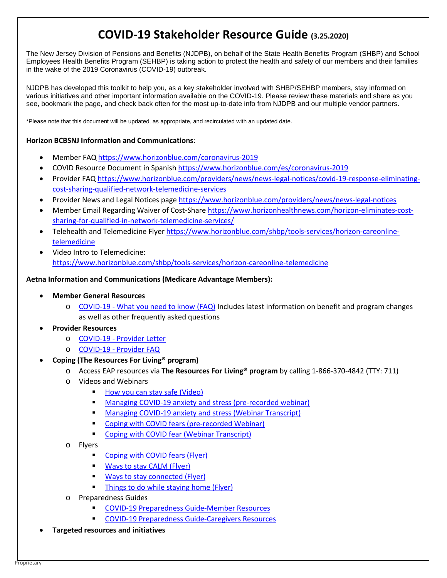# **COVID-19 Stakeholder Resource Guide (3.25.2020)**

The New Jersey Division of Pensions and Benefits (NJDPB), on behalf of the State Health Benefits Program (SHBP) and School Employees Health Benefits Program (SEHBP) is taking action to protect the health and safety of our members and their families in the wake of the 2019 Coronavirus (COVID-19) outbreak.

NJDPB has developed this toolkit to help you, as a key stakeholder involved with SHBP/SEHBP members, stay informed on various initiatives and other important information available on the COVID-19. Please review these materials and share as you see, bookmark the page, and check back often for the most up-to-date info from NJDPB and our multiple vendor partners.

\*Please note that this document will be updated, as appropriate, and recirculated with an updated date.

## **Horizon BCBSNJ Information and Communications**:

- Member FA[Q https://www.horizonblue.com/coronavirus-2019](https://urldefense.com/v3/__https:/www.horizonblue.com/coronavirus-2019__;!!J30X0ZrnC1oQtbA!fiOST13ocIl_MlaVFjSiztmZ-f7-iBoLUz-als92fFwP4pRNAa1QIlurhZVZWgVdNeCgUWkN$)
- COVID Resource Document in Spanish [https://www.horizonblue.com/es/coronavirus-2019](https://urldefense.com/v3/__https:/www.horizonblue.com/es/coronavirus-2019__;!!J30X0ZrnC1oQtbA!b0jicJjJ4snpDn_7PpXAj-FWVr6xIVIj6cNZvhhq7RwunVPpFLcMCJT_-eypbq5Y2FgM0wea$)
- Provider FAQ [https://www.horizonblue.com/providers/news/news-legal-notices/covid-19-response-eliminating](https://urldefense.com/v3/__https:/www.horizonblue.com/providers/news/news-legal-notices/covid-19-response-eliminating-cost-sharing-qualified-network-telemedicine-services__;!!J30X0ZrnC1oQtbA!fiOST13ocIl_MlaVFjSiztmZ-f7-iBoLUz-als92fFwP4pRNAa1QIlurhZVZWgVdNbH2v6CO$)[cost-sharing-qualified-network-telemedicine-services](https://urldefense.com/v3/__https:/www.horizonblue.com/providers/news/news-legal-notices/covid-19-response-eliminating-cost-sharing-qualified-network-telemedicine-services__;!!J30X0ZrnC1oQtbA!fiOST13ocIl_MlaVFjSiztmZ-f7-iBoLUz-als92fFwP4pRNAa1QIlurhZVZWgVdNbH2v6CO$)
- Provider News and Legal Notices pag[e https://www.horizonblue.com/providers/news/news-legal-notices](https://urldefense.com/v3/__https:/www.horizonblue.com/providers/news/news-legal-notices__;!!J30X0ZrnC1oQtbA!fiOST13ocIl_MlaVFjSiztmZ-f7-iBoLUz-als92fFwP4pRNAa1QIlurhZVZWgVdNen1YCzT$)
- Member Email Regarding Waiver of Cost-Shar[e https://www.horizonhealthnews.com/horizon-eliminates-cost](https://urldefense.com/v3/__https:/www.horizonhealthnews.com/horizon-eliminates-cost-sharing-for-qualified-in-network-telemedicine-services/__;!!J30X0ZrnC1oQtbA!fiOST13ocIl_MlaVFjSiztmZ-f7-iBoLUz-als92fFwP4pRNAa1QIlurhZVZWgVdNcqFTsJp$)[sharing-for-qualified-in-network-telemedicine-services/](https://urldefense.com/v3/__https:/www.horizonhealthnews.com/horizon-eliminates-cost-sharing-for-qualified-in-network-telemedicine-services/__;!!J30X0ZrnC1oQtbA!fiOST13ocIl_MlaVFjSiztmZ-f7-iBoLUz-als92fFwP4pRNAa1QIlurhZVZWgVdNcqFTsJp$)
- Telehealth and Telemedicine Flyer [https://www.horizonblue.com/shbp/tools-services/horizon-careonline](https://urldefense.com/v3/__https:/www.horizonblue.com/shbp/tools-services/horizon-careonline-telemedicine__;!!J30X0ZrnC1oQtbA!fiOST13ocIl_MlaVFjSiztmZ-f7-iBoLUz-als92fFwP4pRNAa1QIlurhZVZWgVdNZ5nXUf-$)[telemedicine](https://urldefense.com/v3/__https:/www.horizonblue.com/shbp/tools-services/horizon-careonline-telemedicine__;!!J30X0ZrnC1oQtbA!fiOST13ocIl_MlaVFjSiztmZ-f7-iBoLUz-als92fFwP4pRNAa1QIlurhZVZWgVdNZ5nXUf-$)
- Video Intro to Telemedicine: [https://www.horizonblue.com/shbp/tools-services/horizon-careonline-telemedicine](https://urldefense.com/v3/__https:/www.horizonblue.com/shbp/tools-services/horizon-careonline-telemedicine__;!!J30X0ZrnC1oQtbA!fiOST13ocIl_MlaVFjSiztmZ-f7-iBoLUz-als92fFwP4pRNAa1QIlurhZVZWgVdNZ5nXUf-$)

### **Aetna Information and Communications (Medicare Advantage Members):**

- **Member General Resources**
	- o COVID-19 [What you need to know \(FAQ\)](https://www.aetna.com/individuals-families/member-rights-resources/need-to-know-coronavirus.html#acc_link_content_section_responsivegrid_copy_responsivegrid_accordion_888645970_1) Includes latest information on benefit and program changes as well as other frequently asked questions

### • **Provider Resources**

- o COVID-19 [Provider Letter](https://www.aetna.com/health-care-professionals/provider-education-manuals/covid19-letter.html)
- o COVID-19 [Provider FAQ](https://www.aetna.com/health-care-professionals/provider-education-manuals/covid-faq.html)
- **Coping (The Resources For Living® program)** 
	- o Access EAP resources via **The Resources For Living® program** by calling 1-866-370-4842 (TTY: 711)
		- o Videos and Webinars
			- **[How you can stay safe \(Video\)](https://youtu.be/3Eu2ZyhyACE)**
			- **[Managing COVID-19 anxiety and stress \(pre-recorded webinar\)](http://www.promoinfotools.com/Communications/Webinars/RFLWebinarWebPages/ManagingCOVID-19Anxiety.html)**
			- **[Managing COVID-19 anxiety and stress \(Webinar Transcript\)](http://www.promoinfotools.com/Communications/Webinars/RFLWebinarWebPages/ManagingCOVID-19AnxietyTranscript.pdf)**
			- **[Coping with COVID fears](http://www.promoinfotools.com/Communications/Webinars/RFLWebinarWebPages/CoronavirusFearsWaysToKeepCalmCC.html) (pre-recorded Webinar)**
			- [Coping with COVID fear \(Webinar Transcript\)](http://www.promoinfotools.com/Communications/Webinars/RFLWebinarWebPages/CoronavirusFearsWaysToKeepCalmTranscript.pdf)
		- o Flyers
			- **[Coping with COVID fears \(Flyer\)](http://www.promoinfotools.com/Communications/ecard/Svcs/Wellness/CopingWithCoronavirus_RFL.pdf)**
			- **[Ways to stay CALM \(Flyer\)](http://www.promoinfotools.com/Communications/ecard/Svcs/Wellness/WaysToStayCalm_RFL.pdf)**
			- [Ways to stay connected \(Flyer\)](http://www.promoinfotools.com/Communications/ecard/Svcs/Wellness/WaysToConnectWithoutLeavingYourHome_RFL.pdf)
			- **[Things to do while staying home \(Flyer\)](http://www.promoinfotools.com/Communications/ecard/Svcs/Wellness/ThingsToDoWhenInside_RFL.pdf)**
		- o Preparedness Guides
			- [COVID-19 Preparedness Guide-Member Resources](https://www.resourcesforliving.com/media/pdf/Current-National-Events/CoronavirusResources.pdf)
			- [COVID-19 Preparedness Guide-Caregivers Resources](https://www.resourcesforliving.com/media/pdf/Current-National-Events/COVID19_CaregiverResources.pdf)
	- **Targeted resources and initiatives**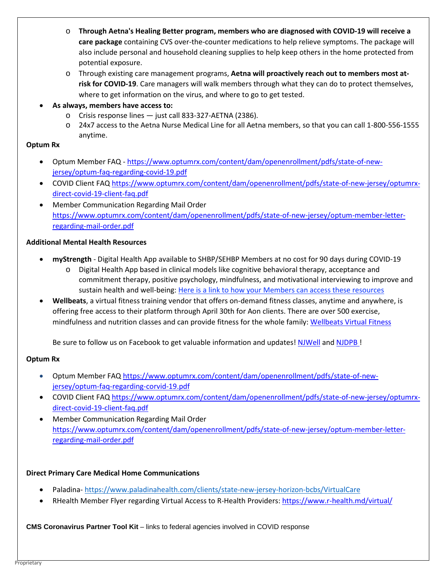- o **Through Aetna's Healing Better program, members who are diagnosed with COVID-19 will receive a care package** containing CVS over-the-counter medications to help relieve symptoms. The package will also include personal and household cleaning supplies to help keep others in the home protected from potential exposure.
- o Through existing care management programs, **Aetna will proactively reach out to members most atrisk for COVID-19**. Care managers will walk members through what they can do to protect themselves, where to get information on the virus, and where to go to get tested.
- **As always, members have access to:**
	- o Crisis response lines just call 833-327-AETNA (2386).
	- o 24x7 access to the Aetna Nurse Medical Line for all Aetna members, so that you can call 1-800-556-1555 anytime.

## **Optum Rx**

- Optum Member FAQ https://www.optumrx.com/content/dam/openenrollment/pdfs/state-of-newjersey/optum-faq-regarding-covid-19.pdf
- COVID Client FAQ [https://www.optumrx.com/content/dam/openenrollment/pdfs/state-of-new-jersey/optumrx](https://www.optumrx.com/content/dam/openenrollment/pdfs/state-of-new-jersey/optumrx-direct-covid-19-client-faq.pdf)[direct-covid-19-client-faq.pdf](https://www.optumrx.com/content/dam/openenrollment/pdfs/state-of-new-jersey/optumrx-direct-covid-19-client-faq.pdf)
- Member Communication Regarding Mail Order [https://www.optumrx.com/content/dam/openenrollment/pdfs/state-of-new-jersey/optum-member-letter](https://urldefense.com/v3/__https:/www.optumrx.com/content/dam/openenrollment/pdfs/state-of-new-jersey/optum-member-letter-regarding-mail-order.pdf__;!!J30X0ZrnC1oQtbA!cBBJ5THCWIdigNvZ9WFexaxDg1zEehxrgulYilPXN7JmPtTB3uYoh7EoCH_jgX9qgJ_SMhaR$)[regarding-mail-order.pdf](https://urldefense.com/v3/__https:/www.optumrx.com/content/dam/openenrollment/pdfs/state-of-new-jersey/optum-member-letter-regarding-mail-order.pdf__;!!J30X0ZrnC1oQtbA!cBBJ5THCWIdigNvZ9WFexaxDg1zEehxrgulYilPXN7JmPtTB3uYoh7EoCH_jgX9qgJ_SMhaR$)

# **Additional Mental Health Resources**

- **myStrength** Digital Health App available to SHBP/SEHBP Members at no cost for 90 days during COVID-19
	- o Digital Health App based in clinical models like cognitive behavioral therapy, acceptance and commitment therapy, positive psychology, mindfulness, and motivational interviewing to improve and sustain health and well-being: [Here is a link to how your Members can access these resources](https://urldefense.com/v3/__https:/bh.mystrength.com/livongocovid-19response__;!!J30X0ZrnC1oQtbA!YwVftJOvEphSx6ZuT9Hz4Iq7_7ErpprSv9-U4UfzGphqSO5BnL6ejFLxLahU-0SCKQhCp8RR$)
- **Wellbeats**, a virtual fitness training vendor that offers on-demand fitness classes, anytime and anywhere, is offering free access to their platform through April 30th for Aon clients. There are over 500 exercise, mindfulness and nutrition classes and can provide fitness for the whole family: [Wellbeats Virtual Fitness](https://www.nj.gov/treasury/pensions/njwell/documents/pdf/Wellbeats.pdf?fbclid=IwAR3vQ4VSpb1CI_GGTj_a1szZpPrZ7e0-4C-XOq2cmNBRx6mdf7uBS9J7ZjM)

Be sure to follow us on Facebook to get valuable information and updates! [NJWell](https://www.facebook.com/njwellnessprogram/) and [NJDPB !](https://www.facebook.com/NJDPB/)

# **Optum Rx**

- Optum Member FAQ [https://www.optumrx.com/content/dam/openenrollment/pdfs/state-of-new](https://urldefense.com/v3/__https:/www.optumrx.com/content/dam/openenrollment/pdfs/state-of-new-jersey/optum-faq-regarding-corvid-19.pdf__;!!J30X0ZrnC1oQtbA!eTpYRWW5IjxfA9UKsi9gj9oYPVzuqUHDUoO9VHlQ71SYHPSuM5Gks1OdI_hUweTVqmR40nNa$)[jersey/optum-faq-regarding-corvid-19.pdf](https://urldefense.com/v3/__https:/www.optumrx.com/content/dam/openenrollment/pdfs/state-of-new-jersey/optum-faq-regarding-corvid-19.pdf__;!!J30X0ZrnC1oQtbA!eTpYRWW5IjxfA9UKsi9gj9oYPVzuqUHDUoO9VHlQ71SYHPSuM5Gks1OdI_hUweTVqmR40nNa$)
- COVID Client FAQ [https://www.optumrx.com/content/dam/openenrollment/pdfs/state-of-new-jersey/optumrx](https://urldefense.com/v3/__https:/www.optumrx.com/content/dam/openenrollment/pdfs/state-of-new-jersey/optumrx-direct-covid-19-client-faq.pdf__;!!J30X0ZrnC1oQtbA!cBBJ5THCWIdigNvZ9WFexaxDg1zEehxrgulYilPXN7JmPtTB3uYoh7EoCH_jgX9qgJLseKFS$)[direct-covid-19-client-faq.pdf](https://urldefense.com/v3/__https:/www.optumrx.com/content/dam/openenrollment/pdfs/state-of-new-jersey/optumrx-direct-covid-19-client-faq.pdf__;!!J30X0ZrnC1oQtbA!cBBJ5THCWIdigNvZ9WFexaxDg1zEehxrgulYilPXN7JmPtTB3uYoh7EoCH_jgX9qgJLseKFS$)
- Member Communication Regarding Mail Order [https://www.optumrx.com/content/dam/openenrollment/pdfs/state-of-new-jersey/optum-member-letter](https://www.optumrx.com/content/dam/openenrollment/pdfs/state-of-new-jersey/optum-member-letter-regarding-mail-order.pdf)[regarding-mail-order.pdf](https://www.optumrx.com/content/dam/openenrollment/pdfs/state-of-new-jersey/optum-member-letter-regarding-mail-order.pdf)

# **Direct Primary Care Medical Home Communications**

- Paladina- [https://www.paladinahealth.com/clients/state-new-jersey-horizon-bcbs/VirtualCare](https://urldefense.com/v3/__https:/www.paladinahealth.com/clients/state-new-jersey-horizon-bcbs/VirtualCare__;!!J30X0ZrnC1oQtbA!d3dEd_qtHhXINfcpTMcjq4IqoO2ggXd_swgZBiDbOnbX0YUz4eF3HxndJ2ZUo2Q_OvC8cd1R$)
- RHealth Member Flyer regarding Virtual Access to R-Health Providers[: https://www.r-health.md/virtual/](https://urldefense.com/v3/__https:/www.r-health.md/virtual/__;!!J30X0ZrnC1oQtbA!bH_F6fmcP3A1rhThFc3T9vv9QifrCZd-4XTnkgUloA2JF5H9H_vtEYz6_UjnuxJqtAsFQkxV$)

**CMS Coronavirus Partner Tool Kit** – links to federal agencies involved in COVID response